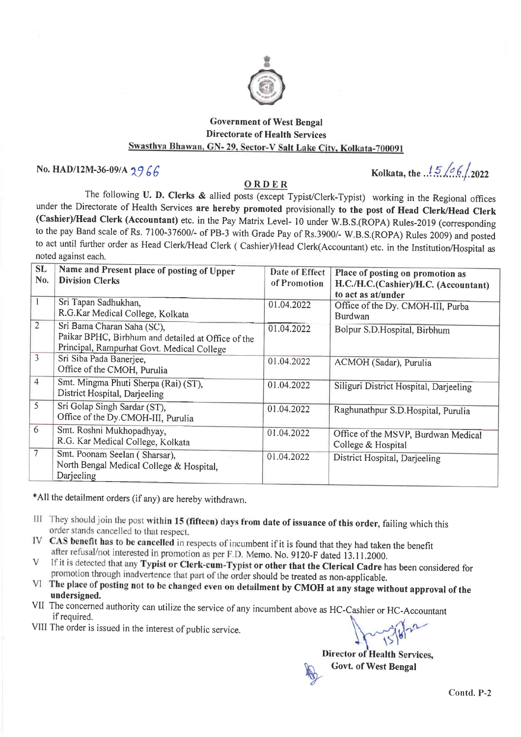

## Government of West Bengal Directorate of Health Services<br>Swasthya Bhawan, GN- 29, Sector-V Salt Lake City, Kolkata-700091

No. HAD/12M-36-09/A  $2966$ 

## ORDER

The following U. D. Clerks & allied posts (except Typist/Clerk-Typist) working in the Regional offices under the Directorate of Health Services are hereby promoted provisionally to the post of Head Clerk/Head Clerk (Cashier)/Head Clerk (Accountant) etc. in the Pay Matrix Level- 10 under W.B.S.(ROPA) Rules-2019 (corresponding to the pay Band scale of Rs. 7100-37600/- of PB-3 with Grade Pay of Rs.3900/- W.B.S.(ROPA) Rules 2009) and posted to act until further order as Head Clerk/Head Clerk ( Cashier)/Head Clerk(Accountant) etc. in the Institution/Hospital as noted against each.

| <b>SL</b><br>No. | Name and Present place of posting of Upper<br><b>Division Clerks</b>                                                           | Date of Effect<br>of Promotion | Place of posting on promotion as<br>H.C./H.C.(Cashier)/H.C. (Accountant)<br>to act as at/under |
|------------------|--------------------------------------------------------------------------------------------------------------------------------|--------------------------------|------------------------------------------------------------------------------------------------|
|                  | Sri Tapan Sadhukhan,<br>R.G.Kar Medical College, Kolkata                                                                       | 01.04.2022                     | Office of the Dy. CMOH-III, Purba<br><b>Burdwan</b>                                            |
| $\overline{2}$   | Sri Bama Charan Saha (SC),<br>Paikar BPHC, Birbhum and detailed at Office of the<br>Principal, Rampurhat Govt. Medical College | 01.04.2022                     | Bolpur S.D.Hospital, Birbhum                                                                   |
| $\overline{3}$   | Sri Siba Pada Banerjee,<br>Office of the CMOH, Purulia                                                                         | 01.04.2022                     | ACMOH (Sadar), Purulia                                                                         |
| $\overline{4}$   | Smt. Mingma Phuti Sherpa (Rai) (ST),<br>District Hospital, Darjeeling                                                          | 01.04.2022                     | Siliguri District Hospital, Darjeeling                                                         |
| $\overline{5}$   | Sri Golap Singh Sardar (ST),<br>Office of the Dy.CMOH-III, Purulia                                                             | 01.04.2022                     | Raghunathpur S.D. Hospital, Purulia                                                            |
| 6                | Smt. Roshni Mukhopadhyay,<br>R.G. Kar Medical College, Kolkata                                                                 | 01.04.2022                     | Office of the MSVP, Burdwan Medical<br>College & Hospital                                      |
| $\tau$           | Smt. Poonam Seelan (Sharsar),<br>North Bengal Medical College & Hospital,<br>Darjeeling                                        | 01.04.2022                     | District Hospital, Darjeeling                                                                  |

\*All the detailment orders (if any) are hereby withdrawn.

- III They should join the post within 15 (fifteen) days from date of issuance of this order, failing which this order stands cancelled to that respect.
- CAS benefit has to be cancelled in respects of incumbent if it is found that they had taken the benefit IV after refusal/not interested in promotion as per F.D. Memo. No. 9120-F dated 13.11.2000.
- If it is detected that any Typist or Clerk-cum-Typist or other that the Clerical Cadre has been considered for V promotion through inadvertence that part of the order should be treated as non-applicable.
- VI The place of posting not to be changed even on detailment by CMOH at any stage without approval of the undersigned.
- VII The concerned authority can utilize the service of any incumbent above as HC-Cashier or HC-Accountant if required.
- VIII The order is issued in the interest of public service.

Director of Health Services, Govt. of West Bengal